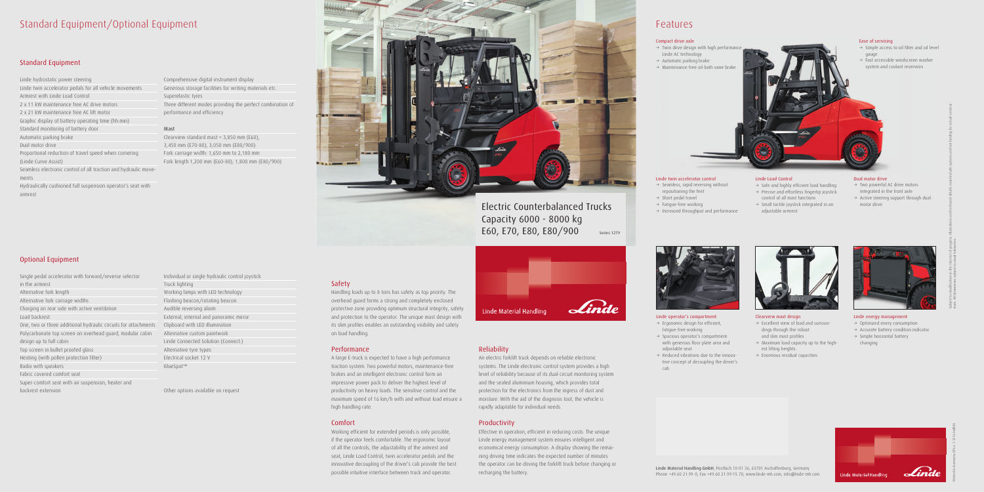## Standard Equipment/Optional Equipment

### Standard Equipment

Linde hydrostatic power steering Linde twin accelerator pedals for all vehicle movements Armrest with Linde Load Control 2 x 11 kW maintenance free AC drive motors 2 x 21 kW maintenance free AC lift motor Graphic display of battery operating time (hh:min) Standard monitoring of battery door Automatic parking brake Dual motor drive Proportional reduction of travel speed when cornering (Linde Curve Assist) Seamless electronic control of all traction and hydraulic movements

Hydraulically cushioned full suspension operator's seat with armrest

### Optional Equipment

Comprehensive digital instrument display Generous storage facilities for writing materials etc. Superelastic tyres Three different modes providing the perfect combination of performance and efficiency

- Single pedal accelerator with forward/reverse selector in the armrest Alternative fork length Alternative fork carriage widths Charging on rear side with active ventilation Load backrest One, two or three additional hydraulic circuits for attachments Clipboard with LED illumination Polycarbonate top screen on overhead guard, modular cabin design up to full cabin Top screen in bullet proofed glass Heating (with pollen protection filter) Radio with speakers Fabric covered comfort seat Super-comfort seat with air suspension, heater and backrest extension
- Individual or single hydraulic control joystick Truck lighting Working lamps with LED technology Flashing beacon/rotating beacon Audible reversing alarm External, internal and panoramic mirror Alternative custom paintwork Linde Connected Solution (Connect:) Alternative tyre types Electrical socket 12 V BlueSpot™

### Mast

Clearview standard mast = 3,850 mm (E60), 3,450 mm (E70-80), 3,050 mm (E80/900) Fork carriage width: 1,650 mm to 2,180 mm Fork length 1,200 mm (E60-80), 1,800 mm (E80/900)



Other options available on request

### Safety

### Linde operator's compartment  $\rightarrow$  Ergonomic design for efficient,

Handling loads up to 8 tons has safety as top priority. The overhead guard forms a strong and completely enclosed protective zone providing optimum structural integrity, safety and protection to the operator. The unique mast design with its slim profiles enables an outstanding visibility and safety on load handling.

### Performance

- $\rightarrow$  Two powerful AC drive motors integrated in the front axle
- $\rightarrow$  Active steering support through dual motor drive



- $\rightarrow$  Optimized enery consumption
- $\rightarrow$  Accurate battery condition indicator
- $\rightarrow$  Simple horizontal battery changing



A large E-truck is expected to have a high performance traction system. Two powerful motors, maintenance-free brakes and an intelligent electronic control form an impressive power pack to deliver the highest level of productivity on heavy loads. The sensitive control and the maximum speed of 16 km/h with and without load ensure a high handling rate.

### Comfort

- $\rightarrow$  Safe and highly efficient load handling
- $\rightarrow$  Precise and effortless fingertip joystick control of all mast functions
- $\rightarrow$  Small tactile joystick integrated in an adjustable armrest

## Electric Counterbalanced Trucks Capacity 6000 - 8000 kg E60, E70, E80, E80/900 Series 1279



Working efficient for extended periods is only possible, if the operator feels comfortable. The ergonomic layout of all the controls, the adjustability of the armrest and seat, Linde Load Control, twin accelerator pedals and the innovative decoupling of the driver's cab provide the best possible intuitive interface between truck and operator.

Linde Material Handling

### Reliability

An electric forklift truck depends on reliable electronic systems. The Linde electronic control system provides a high level of reliability because of its dual circuit monitoring system and the sealed aluminium housing, which provides total protection for the electronics from the ingress of dust and moisture. With the aid of the diagnosis tool, the vehicle is rapidly adaptable for individual needs.

### Productivity

Effective in operation, efficient in reducing costs: The unique Linde energy management system ensures intelligent and economical energy consumption. A display showing the remaining driving time indicates the expected number of minutes the operator can be driving the forklift truck before changing or recharging the battery.

## Features



- fatigue-free working
- $\rightarrow$  Spacious operator's compartment with generous floor plate area and adjustable seat
- $\rightarrow$  Reduced vibrations due to the innovative concept of decoupling the driver's cab



### Linde twin accelerator control

- $\rightarrow$  Seamless, rapid reversing without repositioning the feet
- $\rightarrow$  Short pedal travel
- $\rightarrow$  Fatigue-free working
- $\rightarrow$  Increased throughput and performance

Clearview mast design

- $\rightarrow$  Excellent view of load and surroundings through the robust and slim mast profiles
- $\rightarrow$  Maximum load capacity up to the highest lifting heights
- $\rightarrow$  Enormous residual capacities



### Dual motor drive

### Linde energy management

Printed in Germany 076.e.1.1216.IndB.Ki

Ease of servicing

 $\rightarrow$  Simple access to oil filter and oil level



### Linde Load Control

### Compact drive axle

- $\rightarrow$  Twin drive design with high performance Linde AC technology
- $\rightarrow$  Automatic parking brake
- $\rightarrow$  Maintenance-free oil-bath vane brake